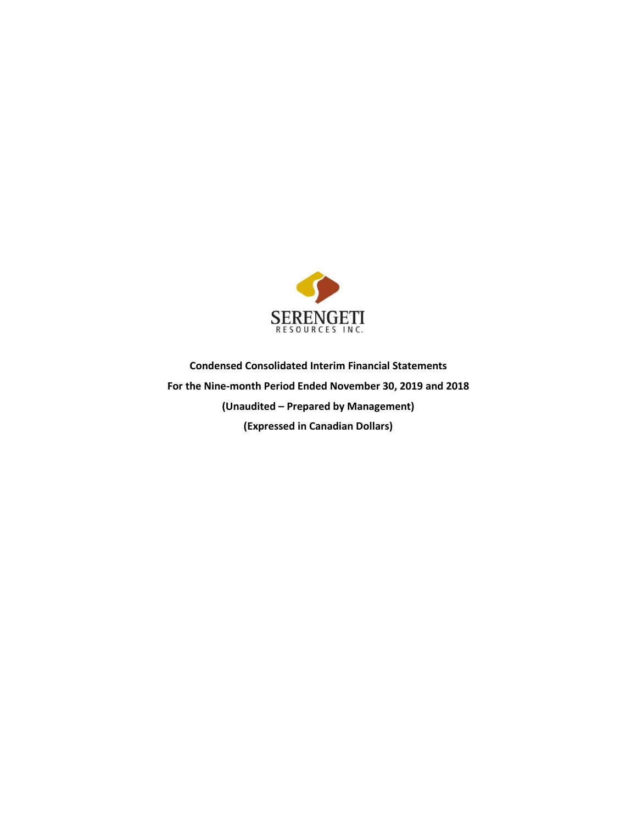

**Condensed Consolidated Interim Financial Statements For the Nine-month Period Ended November 30, 2019 and 2018 (Unaudited – Prepared by Management) (Expressed in Canadian Dollars)**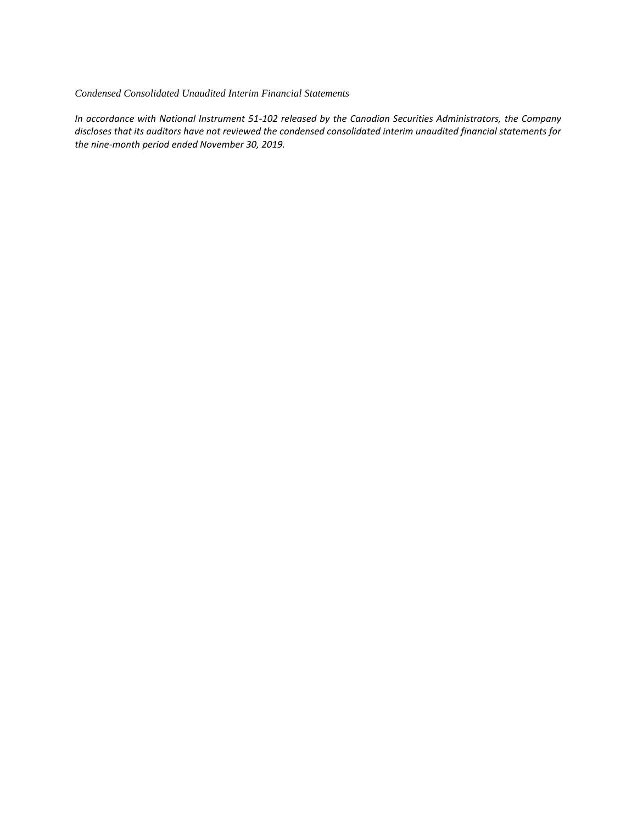## *Condensed Consolidated Unaudited Interim Financial Statements*

*In accordance with National Instrument 51-102 released by the Canadian Securities Administrators, the Company discloses that its auditors have not reviewed the condensed consolidated interim unaudited financial statements for the nine-month period ended November 30, 2019.*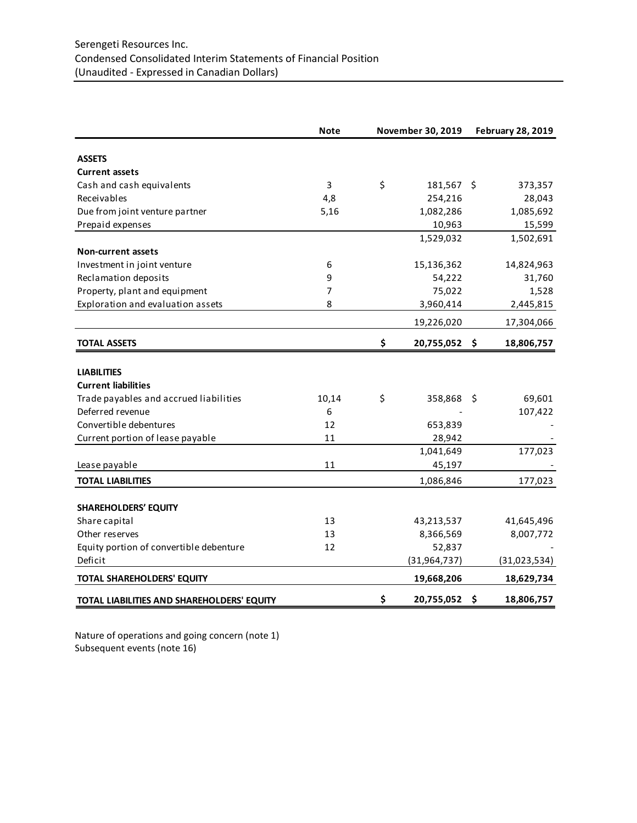|                                            | <b>Note</b> | November 30, 2019   |      | <b>February 28, 2019</b> |
|--------------------------------------------|-------------|---------------------|------|--------------------------|
| <b>ASSETS</b>                              |             |                     |      |                          |
| <b>Current assets</b>                      |             |                     |      |                          |
| Cash and cash equivalents                  | 3           | \$<br>181,567 \$    |      | 373,357                  |
| Receivables                                | 4,8         | 254,216             |      | 28,043                   |
| Due from joint venture partner             | 5,16        | 1,082,286           |      | 1,085,692                |
| Prepaid expenses                           |             | 10,963              |      | 15,599                   |
|                                            |             | 1,529,032           |      | 1,502,691                |
| <b>Non-current assets</b>                  |             |                     |      |                          |
| Investment in joint venture                | 6           | 15,136,362          |      | 14,824,963               |
| Reclamation deposits                       | 9           | 54,222              |      | 31,760                   |
| Property, plant and equipment              | 7           | 75,022              |      | 1,528                    |
| Exploration and evaluation assets          | 8           | 3,960,414           |      | 2,445,815                |
|                                            |             | 19,226,020          |      | 17,304,066               |
| <b>TOTAL ASSETS</b>                        |             | \$<br>20,755,052 \$ |      | 18,806,757               |
|                                            |             |                     |      |                          |
| <b>LIABILITIES</b>                         |             |                     |      |                          |
| <b>Current liabilities</b>                 |             |                     |      |                          |
| Trade payables and accrued liabilities     | 10,14       | \$<br>358,868       | - \$ | 69,601                   |
| Deferred revenue                           | 6           |                     |      | 107,422                  |
| Convertible debentures                     | 12          | 653,839             |      |                          |
| Current portion of lease payable           | 11          | 28,942              |      |                          |
|                                            |             | 1,041,649           |      | 177,023                  |
| Lease payable                              | 11          | 45,197              |      |                          |
| <b>TOTAL LIABILITIES</b>                   |             | 1,086,846           |      | 177,023                  |
|                                            |             |                     |      |                          |
| <b>SHAREHOLDERS' EQUITY</b>                |             |                     |      |                          |
| Share capital                              | 13          | 43,213,537          |      | 41,645,496               |
| Other reserves                             | 13          | 8,366,569           |      | 8,007,772                |
| Equity portion of convertible debenture    | 12          | 52,837              |      |                          |
| Deficit                                    |             | (31, 964, 737)      |      | (31,023,534)             |
| <b>TOTAL SHAREHOLDERS' EQUITY</b>          |             | 19,668,206          |      | 18,629,734               |
| TOTAL LIABILITIES AND SHAREHOLDERS' EQUITY |             | \$<br>20,755,052 \$ |      | 18,806,757               |

Nature of operations and going concern (note 1) Subsequent events (note 16)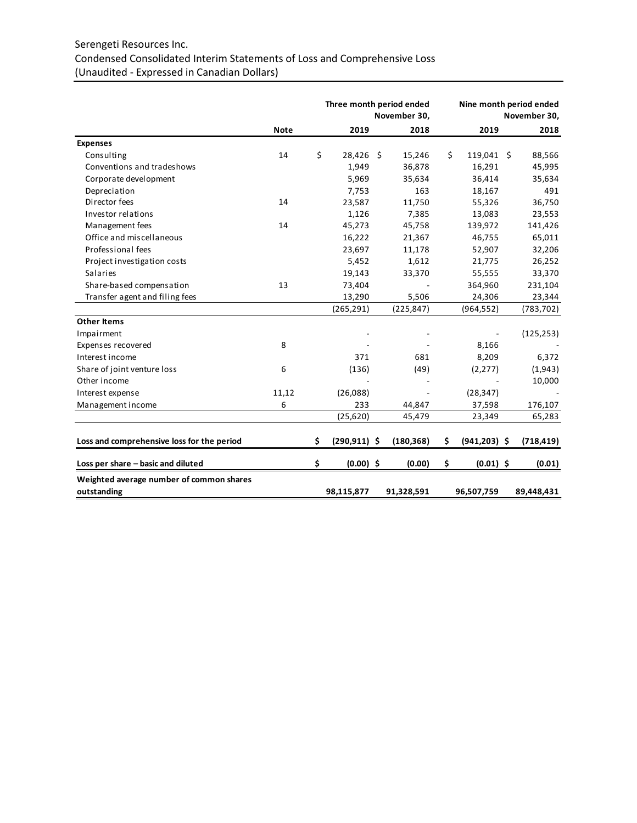# Serengeti Resources Inc. Condensed Consolidated Interim Statements of Loss and Comprehensive Loss (Unaudited - Expressed in Canadian Dollars)

|                                            |             | Three month period ended | November 30, |    | Nine month period ended<br>November 30, |  |            |
|--------------------------------------------|-------------|--------------------------|--------------|----|-----------------------------------------|--|------------|
|                                            | <b>Note</b> | 2019                     | 2018         |    | 2019                                    |  | 2018       |
| <b>Expenses</b>                            |             |                          |              |    |                                         |  |            |
| Consulting                                 | 14          | \$<br>28,426 \$          | 15,246       | Ś. | 119,041 \$                              |  | 88,566     |
| Conventions and tradeshows                 |             | 1,949                    | 36,878       |    | 16,291                                  |  | 45,995     |
| Corporate development                      |             | 5,969                    | 35,634       |    | 36,414                                  |  | 35,634     |
| Depreciation                               |             | 7,753                    | 163          |    | 18,167                                  |  | 491        |
| Director fees                              | 14          | 23,587                   | 11,750       |    | 55,326                                  |  | 36,750     |
| Investor relations                         |             | 1,126                    | 7,385        |    | 13,083                                  |  | 23,553     |
| Management fees                            | 14          | 45,273                   | 45,758       |    | 139,972                                 |  | 141,426    |
| Office and miscellaneous                   |             | 16,222                   | 21,367       |    | 46,755                                  |  | 65,011     |
| Professional fees                          |             | 23,697                   | 11,178       |    | 52,907                                  |  | 32,206     |
| Project investigation costs                |             | 5,452                    | 1,612        |    | 21,775                                  |  | 26,252     |
| <b>Salaries</b>                            |             | 19,143                   | 33,370       |    | 55,555                                  |  | 33,370     |
| Share-based compensation                   | 13          | 73,404                   |              |    | 364,960                                 |  | 231,104    |
| Transfer agent and filing fees             |             | 13,290                   | 5,506        |    | 24,306                                  |  | 23,344     |
|                                            |             | (265, 291)               | (225, 847)   |    | (964, 552)                              |  | (783, 702) |
| <b>Other Items</b>                         |             |                          |              |    |                                         |  |            |
| Impairment                                 |             |                          |              |    |                                         |  | (125, 253) |
| Expenses recovered                         | 8           |                          |              |    | 8,166                                   |  |            |
| Interest income                            |             | 371                      | 681          |    | 8,209                                   |  | 6,372      |
| Share of joint venture loss                | 6           | (136)                    | (49)         |    | (2, 277)                                |  | (1,943)    |
| Other income                               |             |                          |              |    |                                         |  | 10,000     |
| Interest expense                           | 11,12       | (26,088)                 |              |    | (28, 347)                               |  |            |
| Management income                          | 6           | 233                      | 44,847       |    | 37,598                                  |  | 176,107    |
|                                            |             | (25, 620)                | 45,479       |    | 23,349                                  |  | 65,283     |
| Loss and comprehensive loss for the period |             | \$<br>$(290, 911)$ \$    | (180, 368)   | \$ | $(941, 203)$ \$                         |  | (718, 419) |
| Loss per share - basic and diluted         |             | \$<br>$(0.00)$ \$        | (0.00)       | \$ | $(0.01)$ \$                             |  | (0.01)     |
| Weighted average number of common shares   |             |                          |              |    |                                         |  |            |
| outstanding                                |             | 98,115,877               | 91,328,591   |    | 96,507,759                              |  | 89,448,431 |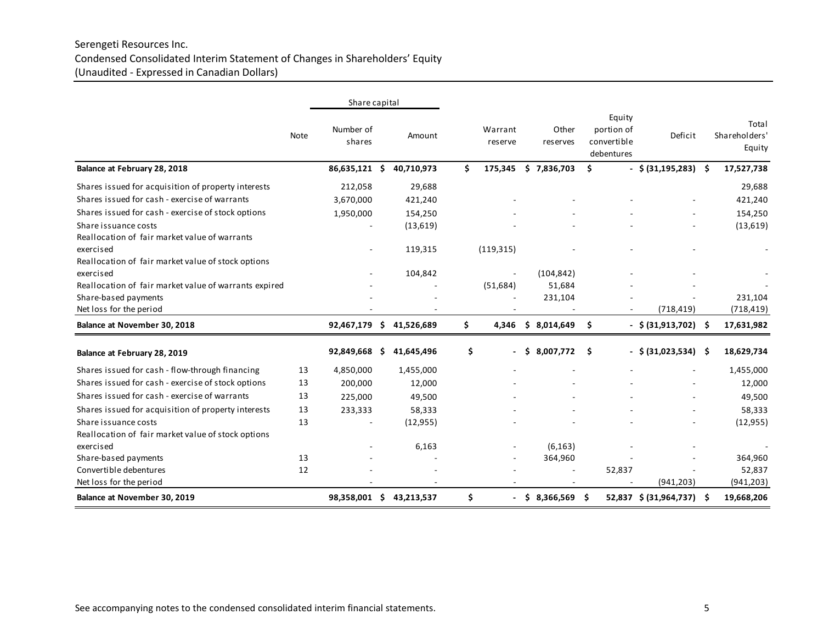# Serengeti Resources Inc. Condensed Consolidated Interim Statement of Changes in Shareholders' Equity (Unaudited - Expressed in Canadian Dollars)

|                                                       |      | Share capital       |     |            |                    |                   |                                                   |        |                           |                                  |
|-------------------------------------------------------|------|---------------------|-----|------------|--------------------|-------------------|---------------------------------------------------|--------|---------------------------|----------------------------------|
|                                                       | Note | Number of<br>shares |     | Amount     | Warrant<br>reserve | Other<br>reserves | Equity<br>portion of<br>convertible<br>debentures |        | Deficit                   | Total<br>Shareholders'<br>Equity |
| Balance at February 28, 2018                          |      | 86,635,121 \$       |     | 40,710,973 | \$<br>175,345      | \$7,836,703       | \$                                                |        | $-$ \$ (31,195,283) \$    | 17,527,738                       |
| Shares issued for acquisition of property interests   |      | 212,058             |     | 29,688     |                    |                   |                                                   |        |                           | 29,688                           |
| Shares issued for cash - exercise of warrants         |      | 3,670,000           |     | 421,240    |                    |                   |                                                   |        |                           | 421,240                          |
| Shares issued for cash - exercise of stock options    |      | 1,950,000           |     | 154,250    |                    |                   |                                                   |        |                           | 154,250                          |
| Share issuance costs                                  |      |                     |     | (13, 619)  |                    |                   |                                                   |        |                           | (13, 619)                        |
| Reallocation of fair market value of warrants         |      |                     |     |            |                    |                   |                                                   |        |                           |                                  |
| exercised                                             |      |                     |     | 119,315    | (119, 315)         |                   |                                                   |        |                           |                                  |
| Reallocation of fair market value of stock options    |      |                     |     |            |                    |                   |                                                   |        |                           |                                  |
| exercised                                             |      |                     |     | 104,842    |                    | (104, 842)        |                                                   |        |                           |                                  |
| Reallocation of fair market value of warrants expired |      |                     |     |            | (51, 684)          | 51,684            |                                                   |        |                           |                                  |
| Share-based payments                                  |      |                     |     |            |                    | 231,104           |                                                   |        |                           | 231,104                          |
| Net loss for the period                               |      |                     |     |            |                    |                   |                                                   |        | (718, 419)                | (718, 419)                       |
| Balance at November 30, 2018                          |      | 92,467,179 \$       |     | 41,526,689 | \$<br>4,346        | \$8,014,649       | Ŝ.                                                |        | $-$ \$ (31,913,702) \$    | 17,631,982                       |
| Balance at February 28, 2019                          |      | 92,849,668          | - Ś | 41,645,496 | \$<br>٠            | \$8,007,772       | \$.                                               |        | $-$ \$(31,023,534) \$     | 18,629,734                       |
| Shares issued for cash - flow-through financing       | 13   | 4,850,000           |     | 1,455,000  |                    |                   |                                                   |        |                           | 1,455,000                        |
| Shares issued for cash - exercise of stock options    | 13   | 200,000             |     | 12,000     |                    |                   |                                                   |        |                           | 12,000                           |
| Shares issued for cash - exercise of warrants         | 13   | 225,000             |     | 49,500     |                    |                   |                                                   |        |                           | 49,500                           |
| Shares issued for acquisition of property interests   | 13   | 233,333             |     | 58,333     |                    |                   |                                                   |        |                           | 58,333                           |
| Share issuance costs                                  | 13   |                     |     | (12, 955)  |                    |                   |                                                   |        |                           | (12, 955)                        |
| Reallocation of fair market value of stock options    |      |                     |     |            |                    |                   |                                                   |        |                           |                                  |
| exercised                                             |      |                     |     | 6,163      |                    | (6, 163)          |                                                   |        |                           |                                  |
| Share-based payments                                  | 13   |                     |     |            |                    | 364,960           |                                                   |        |                           | 364,960                          |
| Convertible debentures                                | 12   |                     |     |            |                    |                   |                                                   | 52,837 |                           | 52,837                           |
| Net loss for the period                               |      |                     |     |            |                    |                   |                                                   |        | (941, 203)                | (941, 203)                       |
| Balance at November 30, 2019                          |      | 98,358,001 \$       |     | 43,213,537 | \$                 | $$8,366,569$ \$   |                                                   |        | 52,837 \$ (31,964,737) \$ | 19,668,206                       |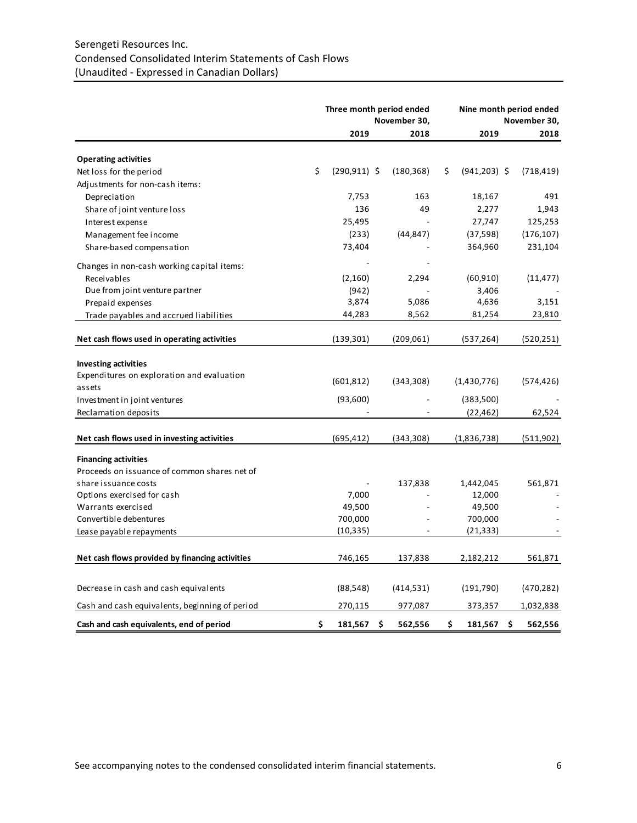# Serengeti Resources Inc. Condensed Consolidated Interim Statements of Cash Flows (Unaudited - Expressed in Canadian Dollars)

|                                                 | Three month period ended<br>November 30, |    |            |     |                   | Nine month period ended<br>November 30, |            |  |
|-------------------------------------------------|------------------------------------------|----|------------|-----|-------------------|-----------------------------------------|------------|--|
|                                                 | 2019                                     |    | 2018       |     | 2019              |                                         | 2018       |  |
| <b>Operating activities</b>                     |                                          |    |            |     |                   |                                         |            |  |
| Net loss for the period                         | \$<br>$(290, 911)$ \$                    |    | (180, 368) | \$. | $(941, 203)$ \$   |                                         | (718, 419) |  |
| Adjustments for non-cash items:                 |                                          |    |            |     |                   |                                         |            |  |
| Depreciation                                    | 7,753                                    |    | 163        |     | 18,167            |                                         | 491        |  |
| Share of joint venture loss                     | 136                                      |    | 49         |     | 2,277             |                                         | 1,943      |  |
| Interest expense                                | 25,495                                   |    |            |     | 27,747            |                                         | 125,253    |  |
| Management fee income                           | (233)                                    |    | (44, 847)  |     | (37, 598)         |                                         | (176, 107) |  |
| Share-based compensation                        | 73,404                                   |    |            |     | 364,960           |                                         | 231,104    |  |
| Changes in non-cash working capital items:      |                                          |    |            |     |                   |                                         |            |  |
| Receivables                                     | (2, 160)                                 |    | 2,294      |     | (60, 910)         |                                         | (11, 477)  |  |
| Due from joint venture partner                  | (942)                                    |    |            |     | 3,406             |                                         |            |  |
| Prepaid expenses                                | 3,874                                    |    | 5,086      |     | 4,636             |                                         | 3,151      |  |
| Trade payables and accrued liabilities          | 44,283                                   |    | 8,562      |     | 81,254            |                                         | 23,810     |  |
| Net cash flows used in operating activities     | (139, 301)                               |    | (209,061)  |     | (537, 264)        |                                         | (520, 251) |  |
|                                                 |                                          |    |            |     |                   |                                         |            |  |
| <b>Investing activities</b>                     |                                          |    |            |     |                   |                                         |            |  |
| Expenditures on exploration and evaluation      |                                          |    |            |     |                   |                                         |            |  |
| assets                                          | (601, 812)                               |    | (343,308)  |     | (1,430,776)       |                                         | (574, 426) |  |
| Investment in joint ventures                    | (93,600)                                 |    |            |     | (383,500)         |                                         |            |  |
| Reclamation deposits                            |                                          |    |            |     | (22, 462)         |                                         | 62,524     |  |
| Net cash flows used in investing activities     | (695, 412)                               |    | (343, 308) |     | (1,836,738)       |                                         | (511, 902) |  |
|                                                 |                                          |    |            |     |                   |                                         |            |  |
| <b>Financing activities</b>                     |                                          |    |            |     |                   |                                         |            |  |
| Proceeds on issuance of common shares net of    |                                          |    |            |     |                   |                                         |            |  |
| share issuance costs                            |                                          |    | 137,838    |     | 1,442,045         |                                         | 561,871    |  |
| Options exercised for cash                      | 7,000                                    |    |            |     | 12,000            |                                         |            |  |
| Warrants exercised<br>Convertible debentures    | 49,500<br>700,000                        |    |            |     | 49,500<br>700,000 |                                         |            |  |
|                                                 | (10, 335)                                |    |            |     | (21, 333)         |                                         |            |  |
| Lease payable repayments                        |                                          |    |            |     |                   |                                         |            |  |
| Net cash flows provided by financing activities | 746,165                                  |    | 137,838    |     | 2,182,212         |                                         | 561,871    |  |
| Decrease in cash and cash equivalents           | (88, 548)                                |    | (414, 531) |     | (191, 790)        |                                         | (470, 282) |  |
| Cash and cash equivalents, beginning of period  | 270,115                                  |    | 977,087    |     | 373,357           |                                         | 1,032,838  |  |
| Cash and cash equivalents, end of period        | \$<br>181,567                            | \$ | 562,556    | \$  | 181,567           | \$.                                     | 562,556    |  |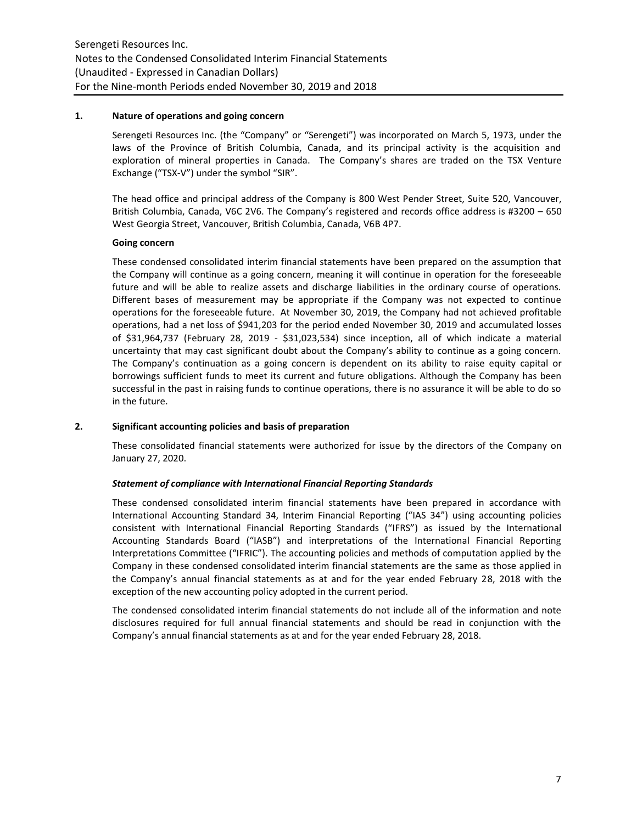#### **1. Nature of operations and going concern**

Serengeti Resources Inc. (the "Company" or "Serengeti") was incorporated on March 5, 1973, under the laws of the Province of British Columbia, Canada, and its principal activity is the acquisition and exploration of mineral properties in Canada. The Company's shares are traded on the TSX Venture Exchange ("TSX-V") under the symbol "SIR".

The head office and principal address of the Company is 800 West Pender Street, Suite 520, Vancouver, British Columbia, Canada, V6C 2V6. The Company's registered and records office address is #3200 – 650 West Georgia Street, Vancouver, British Columbia, Canada, V6B 4P7.

# **Going concern**

These condensed consolidated interim financial statements have been prepared on the assumption that the Company will continue as a going concern, meaning it will continue in operation for the foreseeable future and will be able to realize assets and discharge liabilities in the ordinary course of operations. Different bases of measurement may be appropriate if the Company was not expected to continue operations for the foreseeable future. At November 30, 2019, the Company had not achieved profitable operations, had a net loss of \$941,203 for the period ended November 30, 2019 and accumulated losses of \$31,964,737 (February 28, 2019 - \$31,023,534) since inception, all of which indicate a material uncertainty that may cast significant doubt about the Company's ability to continue as a going concern. The Company's continuation as a going concern is dependent on its ability to raise equity capital or borrowings sufficient funds to meet its current and future obligations. Although the Company has been successful in the past in raising funds to continue operations, there is no assurance it will be able to do so in the future.

# **2. Significant accounting policies and basis of preparation**

These consolidated financial statements were authorized for issue by the directors of the Company on January 27, 2020.

#### *Statement of compliance with International Financial Reporting Standards*

These condensed consolidated interim financial statements have been prepared in accordance with International Accounting Standard 34, Interim Financial Reporting ("IAS 34") using accounting policies consistent with International Financial Reporting Standards ("IFRS") as issued by the International Accounting Standards Board ("IASB") and interpretations of the International Financial Reporting Interpretations Committee ("IFRIC"). The accounting policies and methods of computation applied by the Company in these condensed consolidated interim financial statements are the same as those applied in the Company's annual financial statements as at and for the year ended February 28, 2018 with the exception of the new accounting policy adopted in the current period.

The condensed consolidated interim financial statements do not include all of the information and note disclosures required for full annual financial statements and should be read in conjunction with the Company's annual financial statements as at and for the year ended February 28, 2018.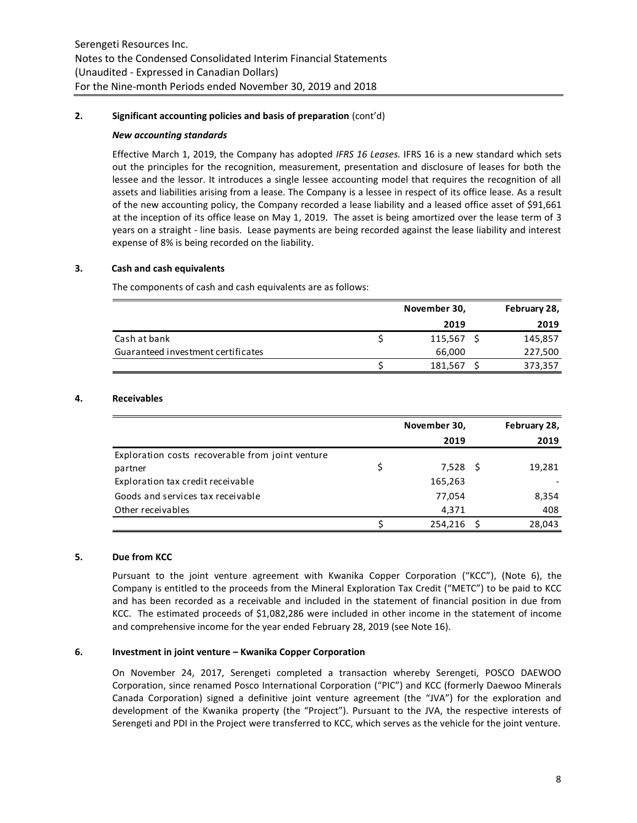# **2. Significant accounting policies and basis of preparation** (cont'd)

#### *New accounting standards*

Effective March 1, 2019, the Company has adopted *IFRS 16 Leases.* IFRS 16 is a new standard which sets out the principles for the recognition, measurement, presentation and disclosure of leases for both the lessee and the lessor. It introduces a single lessee accounting model that requires the recognition of all assets and liabilities arising from a lease. The Company is a lessee in respect of its office lease. As a result of the new accounting policy, the Company recorded a lease liability and a leased office asset of \$91,661 at the inception of its office lease on May 1, 2019. The asset is being amortized over the lease term of 3 years on a straight - line basis. Lease payments are being recorded against the lease liability and interest expense of 8% is being recorded on the liability.

# **3. Cash and cash equivalents**

The components of cash and cash equivalents are as follows:

|                                    | November 30, | February 28, |
|------------------------------------|--------------|--------------|
|                                    | 2019         | 2019         |
| Cash at bank                       | 115,567      | 145,857      |
| Guaranteed investment certificates | 66,000       | 227,500      |
|                                    | 181,567      | 373,357      |

# **4. Receivables**

|                                                  | November 30,   | February 28, |
|--------------------------------------------------|----------------|--------------|
|                                                  | 2019           | 2019         |
| Exploration costs recoverable from joint venture |                |              |
| partner                                          | \$<br>7,528 \$ | 19,281       |
| Exploration tax credit receivable                | 165,263        |              |
| Goods and services tax receivable                | 77,054         | 8,354        |
| Other receivables                                | 4,371          | 408          |
|                                                  | 254,216        | 28,043       |

# **5. Due from KCC**

Pursuant to the joint venture agreement with Kwanika Copper Corporation ("KCC"), (Note 6), the Company is entitled to the proceeds from the Mineral Exploration Tax Credit ("METC") to be paid to KCC and has been recorded as a receivable and included in the statement of financial position in due from KCC. The estimated proceeds of \$1,082,286 were included in other income in the statement of income and comprehensive income for the year ended February 28, 2019 (see Note 16).

# **6. Investment in joint venture – Kwanika Copper Corporation**

On November 24, 2017, Serengeti completed a transaction whereby Serengeti, POSCO DAEWOO Corporation, since renamed Posco International Corporation ("PIC") and KCC (formerly Daewoo Minerals Canada Corporation) signed a definitive joint venture agreement (the "JVA") for the exploration and development of the Kwanika property (the "Project"). Pursuant to the JVA, the respective interests of Serengeti and PDI in the Project were transferred to KCC, which serves as the vehicle for the joint venture.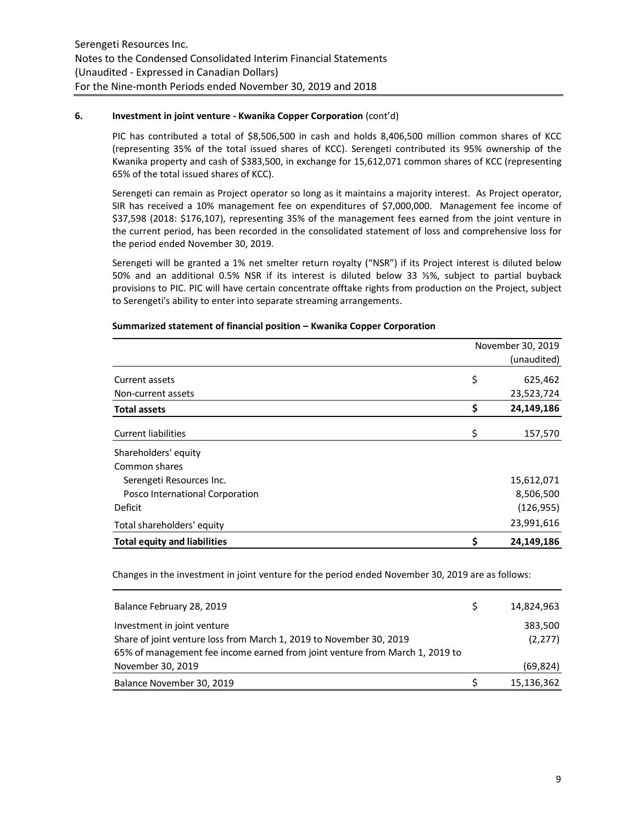# **6. Investment in joint venture - Kwanika Copper Corporation** (cont'd)

PIC has contributed a total of \$8,506,500 in cash and holds 8,406,500 million common shares of KCC (representing 35% of the total issued shares of KCC). Serengeti contributed its 95% ownership of the Kwanika property and cash of \$383,500, in exchange for 15,612,071 common shares of KCC (representing 65% of the total issued shares of KCC).

Serengeti can remain as Project operator so long as it maintains a majority interest. As Project operator, SIR has received a 10% management fee on expenditures of \$7,000,000. Management fee income of \$37,598 (2018: \$176,107), representing 35% of the management fees earned from the joint venture in the current period, has been recorded in the consolidated statement of loss and comprehensive loss for the period ended November 30, 2019.

Serengeti will be granted a 1% net smelter return royalty ("NSR") if its Project interest is diluted below 50% and an additional 0.5% NSR if its interest is diluted below 33 ⅓%, subject to partial buyback provisions to PIC. PIC will have certain concentrate offtake rights from production on the Project, subject to Serengeti's ability to enter into separate streaming arrangements.

| November 30, 2019                   |    |             |  |  |  |
|-------------------------------------|----|-------------|--|--|--|
|                                     |    | (unaudited) |  |  |  |
| Current assets                      | \$ | 625,462     |  |  |  |
| Non-current assets                  |    | 23,523,724  |  |  |  |
| <b>Total assets</b>                 | \$ | 24,149,186  |  |  |  |
| <b>Current liabilities</b>          | \$ | 157,570     |  |  |  |
| Shareholders' equity                |    |             |  |  |  |
| Common shares                       |    |             |  |  |  |
| Serengeti Resources Inc.            |    | 15,612,071  |  |  |  |
| Posco International Corporation     |    | 8,506,500   |  |  |  |
| Deficit                             |    | (126, 955)  |  |  |  |
| Total shareholders' equity          |    | 23,991,616  |  |  |  |
| <b>Total equity and liabilities</b> | \$ | 24,149,186  |  |  |  |

#### **Summarized statement of financial position – Kwanika Copper Corporation**

Changes in the investment in joint venture for the period ended November 30, 2019 are as follows:

| Balance February 28, 2019                                                    | 14,824,963 |
|------------------------------------------------------------------------------|------------|
| Investment in joint venture                                                  | 383,500    |
| Share of joint venture loss from March 1, 2019 to November 30, 2019          | (2, 277)   |
| 65% of management fee income earned from joint venture from March 1, 2019 to |            |
| November 30, 2019                                                            | (69, 824)  |
| Balance November 30, 2019                                                    | 15,136,362 |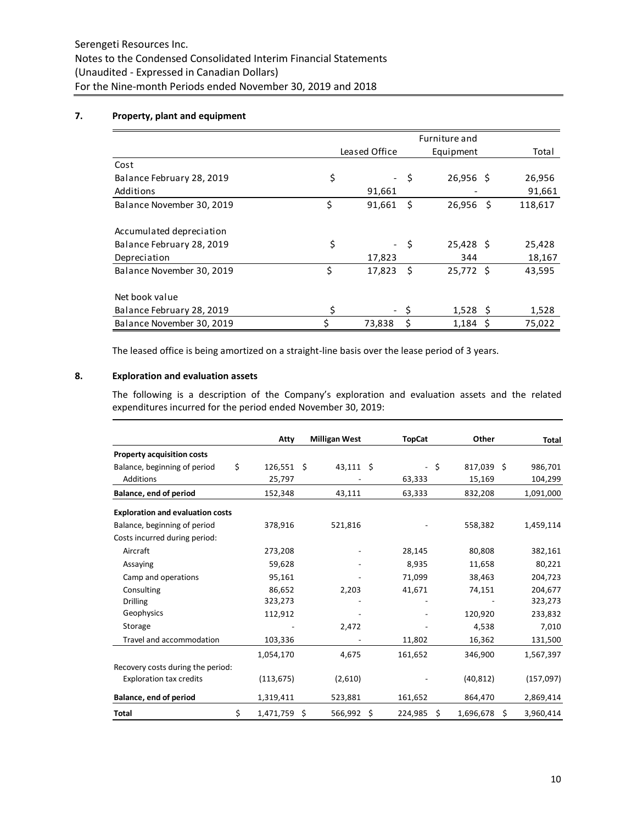# **7. Property, plant and equipment**

|                           | Leased Office                  |      | Equipment   | Total |         |  |
|---------------------------|--------------------------------|------|-------------|-------|---------|--|
| Cost                      |                                |      |             |       |         |  |
| Balance February 28, 2019 | \$<br>$\overline{\phantom{a}}$ | \$.  | $26,956$ \$ |       | 26,956  |  |
| Additions                 | 91,661                         |      |             |       | 91,661  |  |
| Balance November 30, 2019 | \$<br>91,661                   | Ŝ.   | 26,956      | - \$  | 118,617 |  |
|                           |                                |      |             |       |         |  |
| Accumulated depreciation  |                                |      |             |       |         |  |
| Balance February 28, 2019 | \$                             | - \$ | $25,428$ \$ |       | 25,428  |  |
| Depreciation              | 17,823                         |      | 344         |       | 18,167  |  |
| Balance November 30, 2019 | \$<br>17,823                   | -S   | 25,772 \$   |       | 43,595  |  |
|                           |                                |      |             |       |         |  |
| Net book value            |                                |      |             |       |         |  |
| Balance February 28, 2019 | \$                             |      | $1,528$ \$  |       | 1,528   |  |
| Balance November 30, 2019 | \$<br>73,838                   | \$   | $1,184$ \$  |       | 75,022  |  |

The leased office is being amortized on a straight-line basis over the lease period of 3 years.

# **8. Exploration and evaluation assets**

The following is a description of the Company's exploration and evaluation assets and the related expenditures incurred for the period ended November 30, 2019:

|                                         | Atty               | <b>Milligan West</b> |    | <b>TopCat</b>            |    | Other      |   | Total     |
|-----------------------------------------|--------------------|----------------------|----|--------------------------|----|------------|---|-----------|
| <b>Property acquisition costs</b>       |                    |                      |    |                          |    |            |   |           |
| Balance, beginning of period            | \$<br>$126,551$ \$ | $43,111$ \$          |    | $\overline{\phantom{a}}$ | \$ | 817,039 \$ |   | 986,701   |
| Additions                               | 25,797             |                      |    | 63,333                   |    | 15,169     |   | 104,299   |
| Balance, end of period                  | 152,348            | 43,111               |    | 63,333                   |    | 832,208    |   | 1,091,000 |
| <b>Exploration and evaluation costs</b> |                    |                      |    |                          |    |            |   |           |
| Balance, beginning of period            | 378,916            | 521,816              |    |                          |    | 558,382    |   | 1,459,114 |
| Costs incurred during period:           |                    |                      |    |                          |    |            |   |           |
| Aircraft                                | 273,208            |                      |    | 28,145                   |    | 80,808     |   | 382,161   |
| Assaying                                | 59,628             |                      |    | 8,935                    |    | 11,658     |   | 80,221    |
| Camp and operations                     | 95,161             |                      |    | 71,099                   |    | 38,463     |   | 204,723   |
| Consulting                              | 86,652             | 2,203                |    | 41,671                   |    | 74,151     |   | 204,677   |
| <b>Drilling</b>                         | 323,273            |                      |    |                          |    |            |   | 323,273   |
| Geophysics                              | 112,912            |                      |    |                          |    | 120,920    |   | 233,832   |
| Storage                                 |                    | 2,472                |    |                          |    | 4,538      |   | 7,010     |
| Travel and accommodation                | 103,336            |                      |    | 11,802                   |    | 16,362     |   | 131,500   |
|                                         | 1,054,170          | 4,675                |    | 161,652                  |    | 346,900    |   | 1,567,397 |
| Recovery costs during the period:       |                    |                      |    |                          |    |            |   |           |
| <b>Exploration tax credits</b>          | (113, 675)         | (2,610)              |    |                          |    | (40, 812)  |   | (157,097) |
| Balance, end of period                  | 1,319,411          | 523,881              |    | 161,652                  |    | 864,470    |   | 2,869,414 |
| <b>Total</b>                            | \$<br>1,471,759    | \$<br>566,992        | \$ | 224,985                  | \$ | 1,696,678  | Ś | 3,960,414 |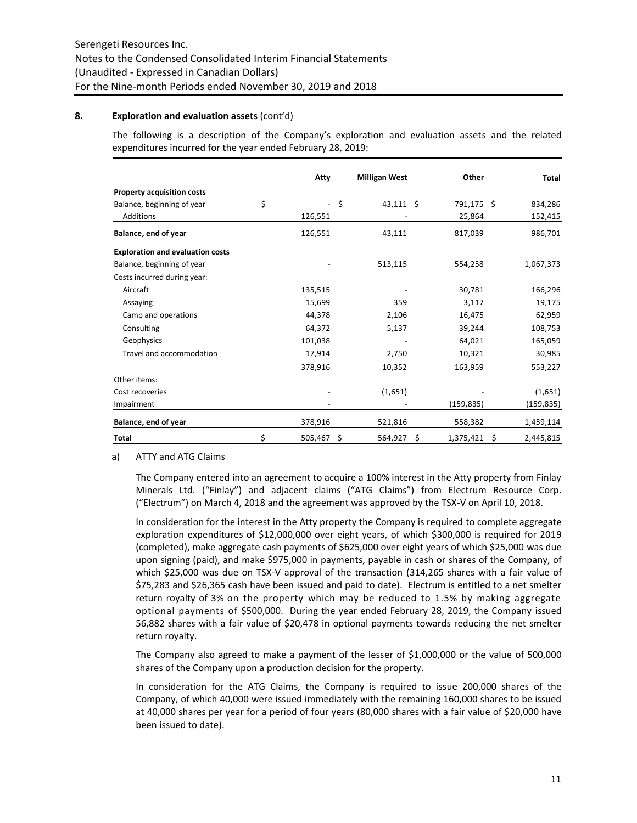#### **8. Exploration and evaluation assets** (cont'd)

The following is a description of the Company's exploration and evaluation assets and the related expenditures incurred for the year ended February 28, 2019:

|                                         | Atty                           | <b>Milligan West</b> | Other           |    | <b>Total</b> |
|-----------------------------------------|--------------------------------|----------------------|-----------------|----|--------------|
| <b>Property acquisition costs</b>       |                                |                      |                 |    |              |
| Balance, beginning of year              | \$<br>$\overline{\phantom{a}}$ | \$<br>$43,111$ \$    | 791,175 \$      |    | 834,286      |
| <b>Additions</b>                        | 126,551                        |                      | 25,864          |    | 152,415      |
| Balance, end of year                    | 126,551                        | 43,111               | 817,039         |    | 986,701      |
| <b>Exploration and evaluation costs</b> |                                |                      |                 |    |              |
| Balance, beginning of year              |                                | 513,115              | 554,258         |    | 1,067,373    |
| Costs incurred during year:             |                                |                      |                 |    |              |
| Aircraft                                | 135,515                        |                      | 30,781          |    | 166,296      |
| Assaying                                | 15,699                         | 359                  | 3,117           |    | 19,175       |
| Camp and operations                     | 44,378                         | 2,106                | 16,475          |    | 62,959       |
| Consulting                              | 64,372                         | 5,137                | 39,244          |    | 108,753      |
| Geophysics                              | 101,038                        |                      | 64,021          |    | 165,059      |
| Travel and accommodation                | 17,914                         | 2,750                | 10,321          |    | 30,985       |
|                                         | 378,916                        | 10,352               | 163,959         |    | 553,227      |
| Other items:                            |                                |                      |                 |    |              |
| Cost recoveries                         |                                | (1,651)              |                 |    | (1,651)      |
| Impairment                              |                                |                      | (159, 835)      |    | (159,835)    |
| Balance, end of year                    | 378,916                        | 521,816              | 558,382         |    | 1,459,114    |
| <b>Total</b>                            | \$<br>$505,467$ \$             | 564,927              | \$<br>1,375,421 | S. | 2,445,815    |

#### a) ATTY and ATG Claims

The Company entered into an agreement to acquire a 100% interest in the Atty property from Finlay Minerals Ltd. ("Finlay") and adjacent claims ("ATG Claims") from Electrum Resource Corp. ("Electrum") on March 4, 2018 and the agreement was approved by the TSX-V on April 10, 2018.

In consideration for the interest in the Atty property the Company is required to complete aggregate exploration expenditures of \$12,000,000 over eight years, of which \$300,000 is required for 2019 (completed), make aggregate cash payments of \$625,000 over eight years of which \$25,000 was due upon signing (paid), and make \$975,000 in payments, payable in cash or shares of the Company, of which \$25,000 was due on TSX-V approval of the transaction (314,265 shares with a fair value of \$75,283 and \$26,365 cash have been issued and paid to date). Electrum is entitled to a net smelter return royalty of 3% on the property which may be reduced to 1.5% by making aggregate optional payments of \$500,000. During the year ended February 28, 2019, the Company issued 56,882 shares with a fair value of \$20,478 in optional payments towards reducing the net smelter return royalty.

The Company also agreed to make a payment of the lesser of \$1,000,000 or the value of 500,000 shares of the Company upon a production decision for the property.

In consideration for the ATG Claims, the Company is required to issue 200,000 shares of the Company, of which 40,000 were issued immediately with the remaining 160,000 shares to be issued at 40,000 shares per year for a period of four years (80,000 shares with a fair value of \$20,000 have been issued to date).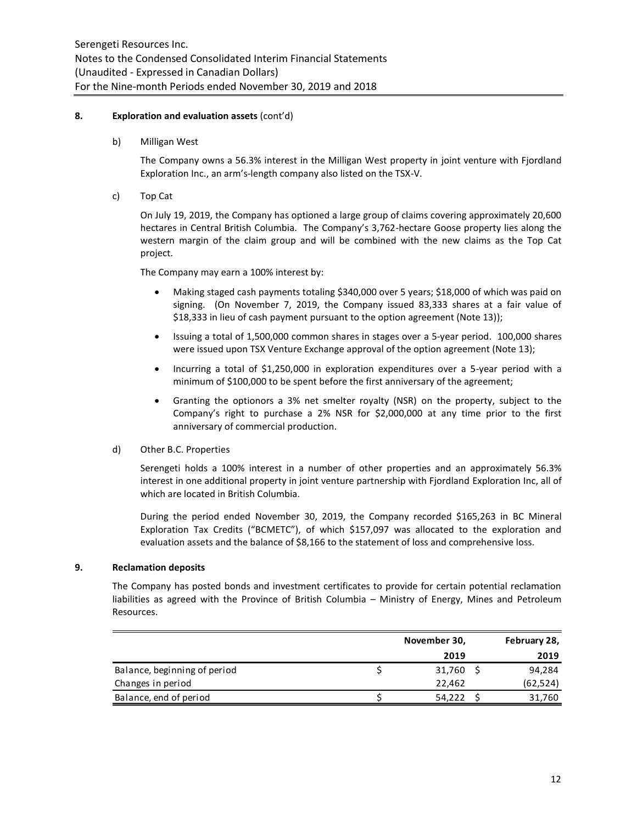# **8. Exploration and evaluation assets** (cont'd)

b) Milligan West

The Company owns a 56.3% interest in the Milligan West property in joint venture with Fjordland Exploration Inc., an arm's-length company also listed on the TSX-V.

c) Top Cat

On July 19, 2019, the Company has optioned a large group of claims covering approximately 20,600 hectares in Central British Columbia. The Company's 3,762-hectare Goose property lies along the western margin of the claim group and will be combined with the new claims as the Top Cat project.

The Company may earn a 100% interest by:

- Making staged cash payments totaling \$340,000 over 5 years; \$18,000 of which was paid on signing. (On November 7, 2019, the Company issued 83,333 shares at a fair value of \$18,333 in lieu of cash payment pursuant to the option agreement (Note 13));
- Issuing a total of 1,500,000 common shares in stages over a 5-year period. 100,000 shares were issued upon TSX Venture Exchange approval of the option agreement (Note 13);
- Incurring a total of \$1,250,000 in exploration expenditures over a 5-year period with a minimum of \$100,000 to be spent before the first anniversary of the agreement;
- Granting the optionors a 3% net smelter royalty (NSR) on the property, subject to the Company's right to purchase a 2% NSR for \$2,000,000 at any time prior to the first anniversary of commercial production.
- d) Other B.C. Properties

Serengeti holds a 100% interest in a number of other properties and an approximately 56.3% interest in one additional property in joint venture partnership with Fjordland Exploration Inc, all of which are located in British Columbia.

During the period ended November 30, 2019, the Company recorded \$165,263 in BC Mineral Exploration Tax Credits ("BCMETC"), of which \$157,097 was allocated to the exploration and evaluation assets and the balance of \$8,166 to the statement of loss and comprehensive loss.

#### **9. Reclamation deposits**

The Company has posted bonds and investment certificates to provide for certain potential reclamation liabilities as agreed with the Province of British Columbia – Ministry of Energy, Mines and Petroleum Resources.

|                              | November 30, | February 28, |
|------------------------------|--------------|--------------|
|                              | 2019         | 2019         |
| Balance, beginning of period | 31,760       | 94,284       |
| Changes in period            | 22.462       | (62, 524)    |
| Balance, end of period       | 54.222       | 31,760       |
|                              |              |              |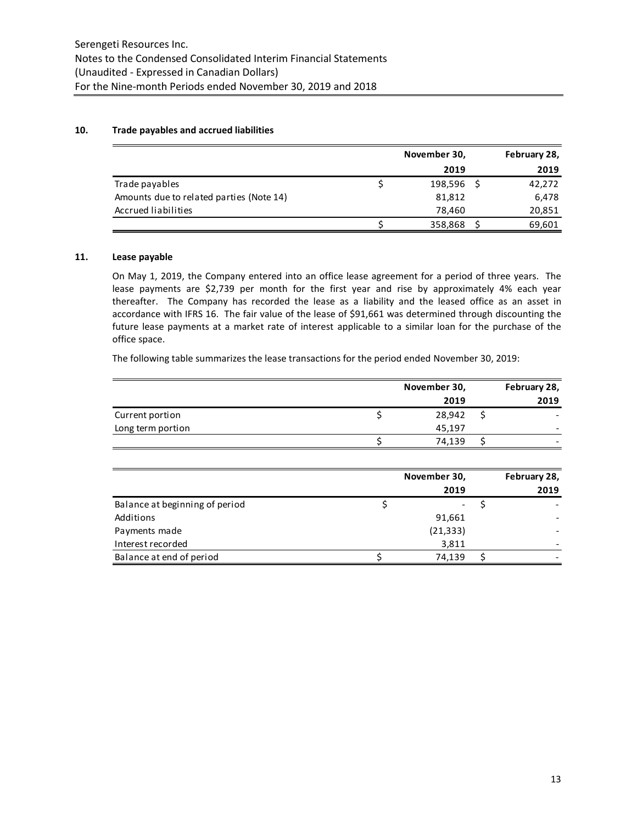# **10. Trade payables and accrued liabilities**

|                                          | November 30, |         |  | February 28, |  |  |
|------------------------------------------|--------------|---------|--|--------------|--|--|
|                                          |              | 2019    |  | 2019         |  |  |
| Trade payables                           |              | 198,596 |  | 42,272       |  |  |
| Amounts due to related parties (Note 14) |              | 81,812  |  | 6,478        |  |  |
| Accrued liabilities                      |              | 78.460  |  | 20,851       |  |  |
|                                          |              | 358,868 |  | 69,601       |  |  |

# **11. Lease payable**

On May 1, 2019, the Company entered into an office lease agreement for a period of three years. The lease payments are \$2,739 per month for the first year and rise by approximately 4% each year thereafter. The Company has recorded the lease as a liability and the leased office as an asset in accordance with IFRS 16. The fair value of the lease of \$91,661 was determined through discounting the future lease payments at a market rate of interest applicable to a similar loan for the purchase of the office space.

The following table summarizes the lease transactions for the period ended November 30, 2019:

|                   | November 30, | February 28, |
|-------------------|--------------|--------------|
|                   | 2019         | 2019         |
| Current portion   | 28,942       |              |
| Long term portion | 45,197       |              |
|                   | 74.139       |              |

|                                | November 30, |  |                      |
|--------------------------------|--------------|--|----------------------|
|                                | 2019         |  | February 28,<br>2019 |
| Balance at beginning of period | -            |  |                      |
| Additions                      | 91,661       |  |                      |
| Payments made                  | (21, 333)    |  |                      |
| Interest recorded              | 3,811        |  |                      |
| Balance at end of period       | 74,139       |  |                      |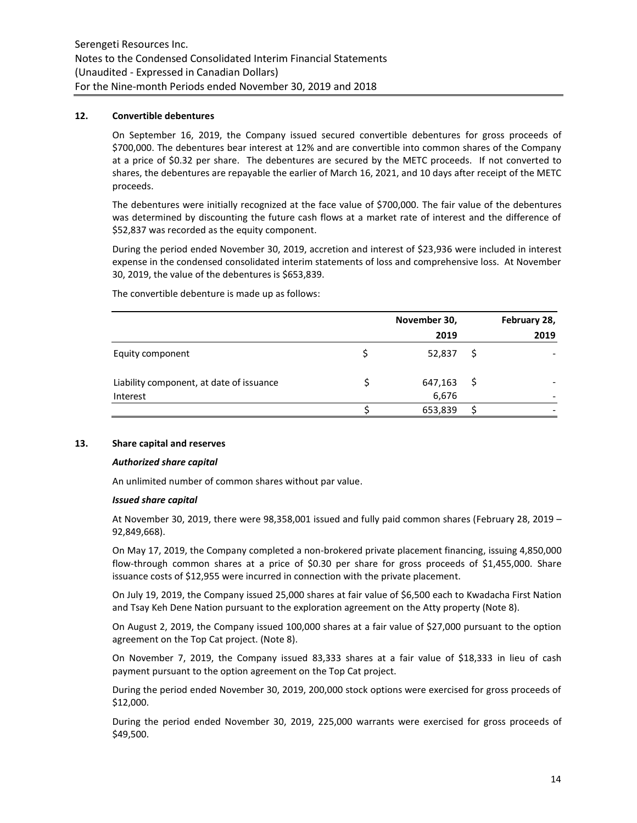# **12. Convertible debentures**

On September 16, 2019, the Company issued secured convertible debentures for gross proceeds of \$700,000. The debentures bear interest at 12% and are convertible into common shares of the Company at a price of \$0.32 per share. The debentures are secured by the METC proceeds. If not converted to shares, the debentures are repayable the earlier of March 16, 2021, and 10 days after receipt of the METC proceeds.

The debentures were initially recognized at the face value of \$700,000. The fair value of the debentures was determined by discounting the future cash flows at a market rate of interest and the difference of \$52,837 was recorded as the equity component.

During the period ended November 30, 2019, accretion and interest of \$23,936 were included in interest expense in the condensed consolidated interim statements of loss and comprehensive loss. At November 30, 2019, the value of the debentures is \$653,839.

|                                                      | November 30,     |   | February 28, |
|------------------------------------------------------|------------------|---|--------------|
|                                                      | 2019             |   | 2019         |
| Equity component                                     | 52,837           | S |              |
| Liability component, at date of issuance<br>Interest | 647,163<br>6,676 | Ş |              |
|                                                      | 653,839          |   |              |

The convertible debenture is made up as follows:

# **13. Share capital and reserves**

#### *Authorized share capital*

An unlimited number of common shares without par value.

#### *Issued share capital*

At November 30, 2019, there were 98,358,001 issued and fully paid common shares (February 28, 2019 – 92,849,668).

On May 17, 2019, the Company completed a non-brokered private placement financing, issuing 4,850,000 flow-through common shares at a price of \$0.30 per share for gross proceeds of \$1,455,000. Share issuance costs of \$12,955 were incurred in connection with the private placement.

On July 19, 2019, the Company issued 25,000 shares at fair value of \$6,500 each to Kwadacha First Nation and Tsay Keh Dene Nation pursuant to the exploration agreement on the Atty property (Note 8).

On August 2, 2019, the Company issued 100,000 shares at a fair value of \$27,000 pursuant to the option agreement on the Top Cat project. (Note 8).

On November 7, 2019, the Company issued 83,333 shares at a fair value of \$18,333 in lieu of cash payment pursuant to the option agreement on the Top Cat project.

During the period ended November 30, 2019, 200,000 stock options were exercised for gross proceeds of \$12,000.

During the period ended November 30, 2019, 225,000 warrants were exercised for gross proceeds of \$49,500.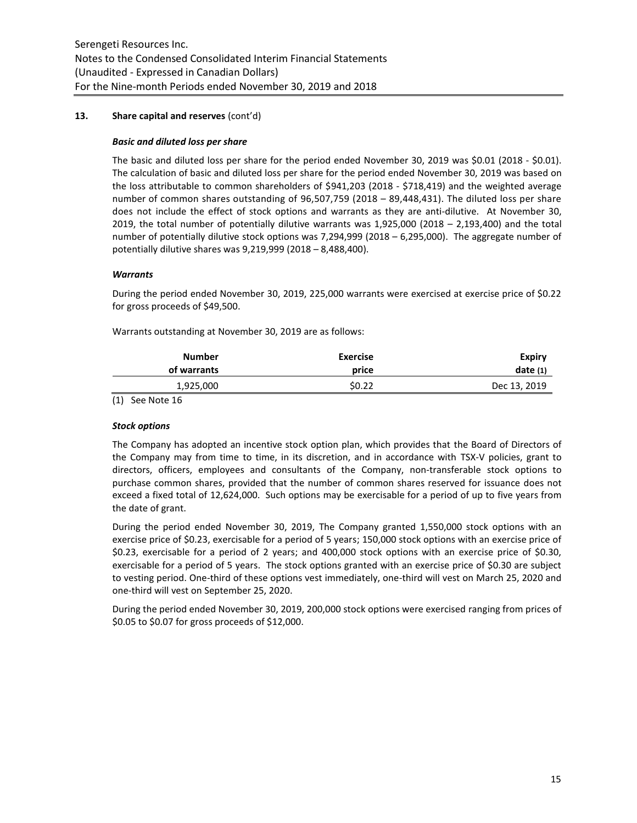# **13. Share capital and reserves** (cont'd)

#### *Basic and diluted loss per share*

The basic and diluted loss per share for the period ended November 30, 2019 was \$0.01 (2018 - \$0.01). The calculation of basic and diluted loss per share for the period ended November 30, 2019 was based on the loss attributable to common shareholders of \$941,203 (2018 - \$718,419) and the weighted average number of common shares outstanding of 96,507,759 (2018 – 89,448,431). The diluted loss per share does not include the effect of stock options and warrants as they are anti-dilutive. At November 30, 2019, the total number of potentially dilutive warrants was  $1,925,000$  (2018 – 2,193,400) and the total number of potentially dilutive stock options was 7,294,999 (2018 – 6,295,000). The aggregate number of potentially dilutive shares was 9,219,999 (2018 – 8,488,400).

# *Warrants*

During the period ended November 30, 2019, 225,000 warrants were exercised at exercise price of \$0.22 for gross proceeds of \$49,500.

Warrants outstanding at November 30, 2019 are as follows:

| <b>Number</b> | <b>Exercise</b> | Expiry       |
|---------------|-----------------|--------------|
| of warrants   | price           | date(1)      |
| 1,925,000     | \$0.22          | Dec 13, 2019 |

(1) See Note 16

#### *Stock options*

The Company has adopted an incentive stock option plan, which provides that the Board of Directors of the Company may from time to time, in its discretion, and in accordance with TSX-V policies, grant to directors, officers, employees and consultants of the Company, non-transferable stock options to purchase common shares, provided that the number of common shares reserved for issuance does not exceed a fixed total of 12,624,000. Such options may be exercisable for a period of up to five years from the date of grant.

During the period ended November 30, 2019, The Company granted 1,550,000 stock options with an exercise price of \$0.23, exercisable for a period of 5 years; 150,000 stock options with an exercise price of \$0.23, exercisable for a period of 2 years; and 400,000 stock options with an exercise price of \$0.30, exercisable for a period of 5 years. The stock options granted with an exercise price of \$0.30 are subject to vesting period. One-third of these options vest immediately, one-third will vest on March 25, 2020 and one-third will vest on September 25, 2020.

During the period ended November 30, 2019, 200,000 stock options were exercised ranging from prices of \$0.05 to \$0.07 for gross proceeds of \$12,000.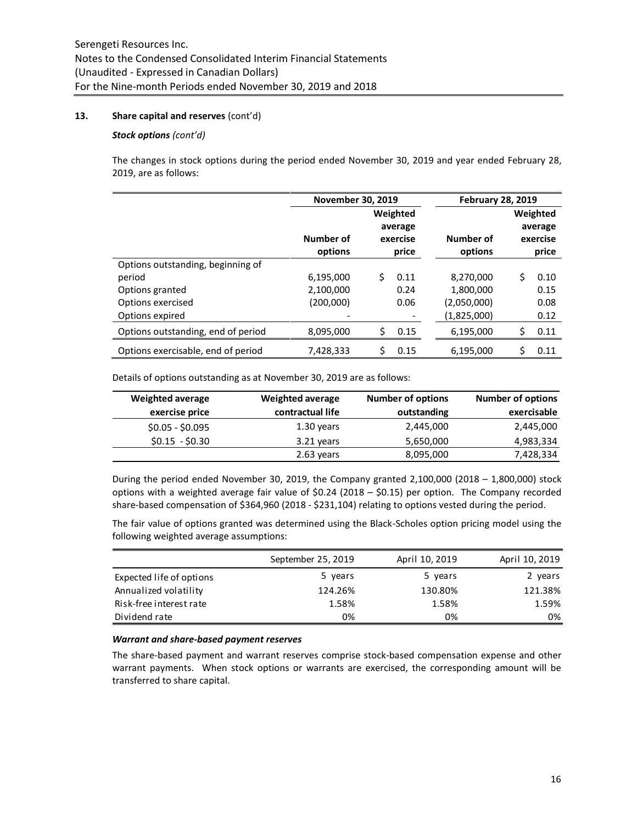# **13. Share capital and reserves** (cont'd)

#### *Stock options (cont'd)*

The changes in stock options during the period ended November 30, 2019 and year ended February 28, 2019, are as follows:

|                                    | <b>November 30, 2019</b> |                                          |      | <b>February 28, 2019</b> |    |      |  |  |  |  |  |  |  |                                          |
|------------------------------------|--------------------------|------------------------------------------|------|--------------------------|----|------|--|--|--|--|--|--|--|------------------------------------------|
|                                    | Number of<br>options     | Weighted<br>average<br>exercise<br>price |      | Number of<br>options     |    |      |  |  |  |  |  |  |  | Weighted<br>average<br>exercise<br>price |
| Options outstanding, beginning of  |                          |                                          |      |                          |    |      |  |  |  |  |  |  |  |                                          |
| period                             | 6,195,000                | Ś                                        | 0.11 | 8,270,000                | Ś. | 0.10 |  |  |  |  |  |  |  |                                          |
| Options granted                    | 2,100,000                |                                          | 0.24 | 1,800,000                |    | 0.15 |  |  |  |  |  |  |  |                                          |
| Options exercised                  | (200,000)                |                                          | 0.06 | (2,050,000)              |    | 0.08 |  |  |  |  |  |  |  |                                          |
| Options expired                    |                          |                                          |      | (1,825,000)              |    | 0.12 |  |  |  |  |  |  |  |                                          |
| Options outstanding, end of period | 8,095,000                | \$                                       | 0.15 | 6,195,000                | \$ | 0.11 |  |  |  |  |  |  |  |                                          |
| Options exercisable, end of period | 7,428,333                | \$                                       | 0.15 | 6,195,000                | \$ | 0.11 |  |  |  |  |  |  |  |                                          |

Details of options outstanding as at November 30, 2019 are as follows:

| <b>Weighted average</b> | <b>Weighted average</b> | <b>Number of options</b> | <b>Number of options</b> |
|-------------------------|-------------------------|--------------------------|--------------------------|
| exercise price          | contractual life        | outstanding              | exercisable              |
| $$0.05 - $0.095$        | 1.30 years              | 2,445,000                | 2,445,000                |
| $$0.15 - $0.30$         | 3.21 years              | 5,650,000                | 4,983,334                |
|                         | 2.63 years              | 8,095,000                | 7,428,334                |

During the period ended November 30, 2019, the Company granted  $2,100,000$  (2018 – 1,800,000) stock options with a weighted average fair value of \$0.24 (2018 – \$0.15) per option. The Company recorded share-based compensation of \$364,960 (2018 - \$231,104) relating to options vested during the period.

The fair value of options granted was determined using the Black-Scholes option pricing model using the following weighted average assumptions:

|                          | September 25, 2019 | April 10, 2019 | April 10, 2019 |
|--------------------------|--------------------|----------------|----------------|
| Expected life of options | 5 years            | 5 years        | 2 years        |
| Annualized volatility    | 124.26%            | 130.80%        | 121.38%        |
| Risk-free interest rate  | 1.58%              | 1.58%          | 1.59%          |
| Dividend rate            | 0%                 | 0%             | 0%             |
|                          |                    |                |                |

# *Warrant and share-based payment reserves*

The share-based payment and warrant reserves comprise stock-based compensation expense and other warrant payments. When stock options or warrants are exercised, the corresponding amount will be transferred to share capital.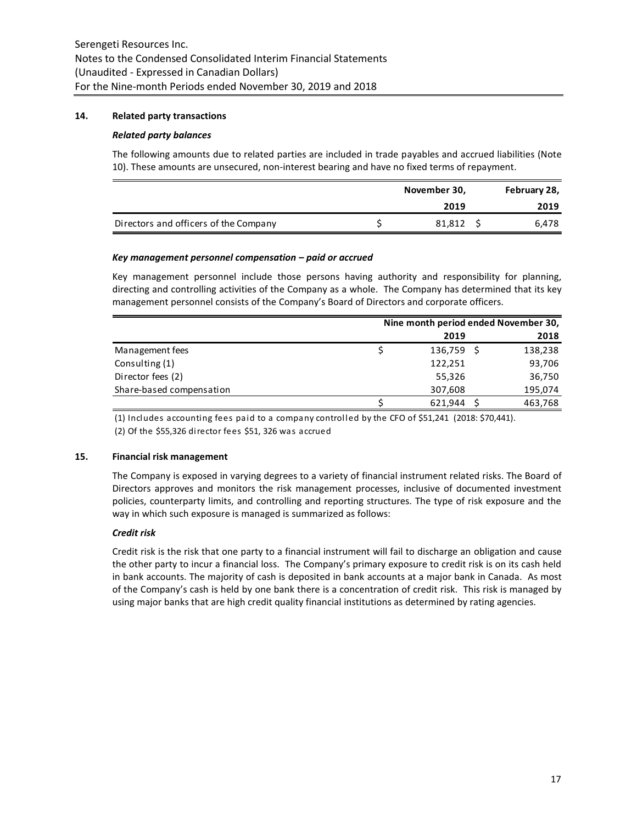# **14. Related party transactions**

#### *Related party balances*

The following amounts due to related parties are included in trade payables and accrued liabilities (Note 10). These amounts are unsecured, non-interest bearing and have no fixed terms of repayment.

|                                       | November 30, |        |  | February 28, |
|---------------------------------------|--------------|--------|--|--------------|
|                                       |              | 2019   |  | 2019         |
| Directors and officers of the Company |              | 81.812 |  | 6.478        |

#### *Key management personnel compensation – paid or accrued*

Key management personnel include those persons having authority and responsibility for planning, directing and controlling activities of the Company as a whole. The Company has determined that its key management personnel consists of the Company's Board of Directors and corporate officers.

|                          | Nine month period ended November 30, |  |         |  |  |
|--------------------------|--------------------------------------|--|---------|--|--|
|                          | 2019                                 |  | 2018    |  |  |
| Management fees          | 136,759                              |  | 138,238 |  |  |
| Consulting (1)           | 122,251                              |  | 93,706  |  |  |
| Director fees (2)        | 55,326                               |  | 36,750  |  |  |
| Share-based compensation | 307,608                              |  | 195,074 |  |  |
|                          | 621.944                              |  | 463,768 |  |  |

(1) Includes accounting fees paid to a company controlled by the CFO of \$51,241 (2018: \$70,441). (2) Of the \$55,326 director fees \$51, 326 was accrued

#### **15. Financial risk management**

The Company is exposed in varying degrees to a variety of financial instrument related risks. The Board of Directors approves and monitors the risk management processes, inclusive of documented investment policies, counterparty limits, and controlling and reporting structures. The type of risk exposure and the way in which such exposure is managed is summarized as follows:

# *Credit risk*

Credit risk is the risk that one party to a financial instrument will fail to discharge an obligation and cause the other party to incur a financial loss. The Company's primary exposure to credit risk is on its cash held in bank accounts. The majority of cash is deposited in bank accounts at a major bank in Canada. As most of the Company's cash is held by one bank there is a concentration of credit risk. This risk is managed by using major banks that are high credit quality financial institutions as determined by rating agencies.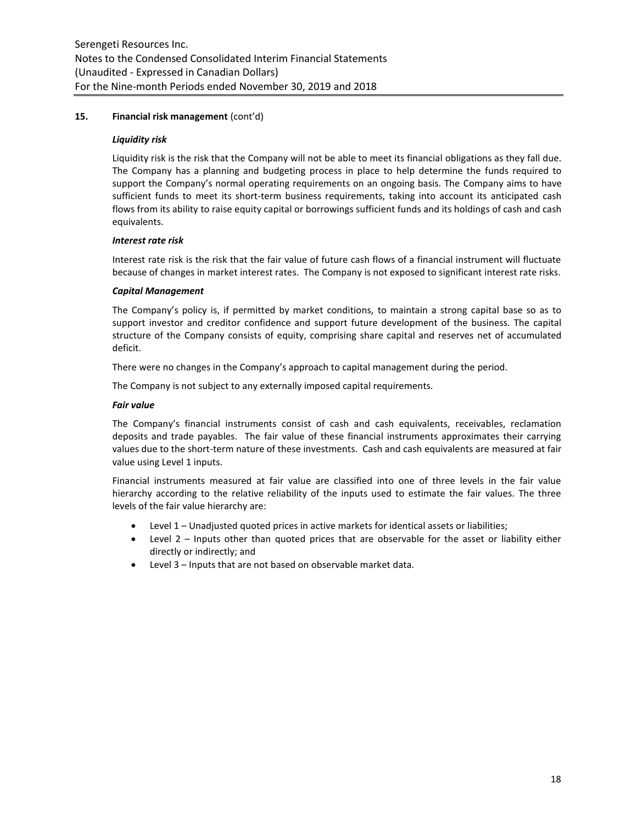# **15. Financial risk management** (cont'd)

#### *Liquidity risk*

Liquidity risk is the risk that the Company will not be able to meet its financial obligations as they fall due. The Company has a planning and budgeting process in place to help determine the funds required to support the Company's normal operating requirements on an ongoing basis. The Company aims to have sufficient funds to meet its short-term business requirements, taking into account its anticipated cash flows from its ability to raise equity capital or borrowings sufficient funds and its holdings of cash and cash equivalents.

# *Interest rate risk*

Interest rate risk is the risk that the fair value of future cash flows of a financial instrument will fluctuate because of changes in market interest rates. The Company is not exposed to significant interest rate risks.

#### *Capital Management*

The Company's policy is, if permitted by market conditions, to maintain a strong capital base so as to support investor and creditor confidence and support future development of the business. The capital structure of the Company consists of equity, comprising share capital and reserves net of accumulated deficit.

There were no changes in the Company's approach to capital management during the period.

The Company is not subject to any externally imposed capital requirements.

# *Fair value*

The Company's financial instruments consist of cash and cash equivalents, receivables, reclamation deposits and trade payables. The fair value of these financial instruments approximates their carrying values due to the short-term nature of these investments. Cash and cash equivalents are measured at fair value using Level 1 inputs.

Financial instruments measured at fair value are classified into one of three levels in the fair value hierarchy according to the relative reliability of the inputs used to estimate the fair values. The three levels of the fair value hierarchy are:

- Level 1 Unadjusted quoted prices in active markets for identical assets or liabilities;
- Level 2 Inputs other than quoted prices that are observable for the asset or liability either directly or indirectly; and
- Level 3 Inputs that are not based on observable market data.